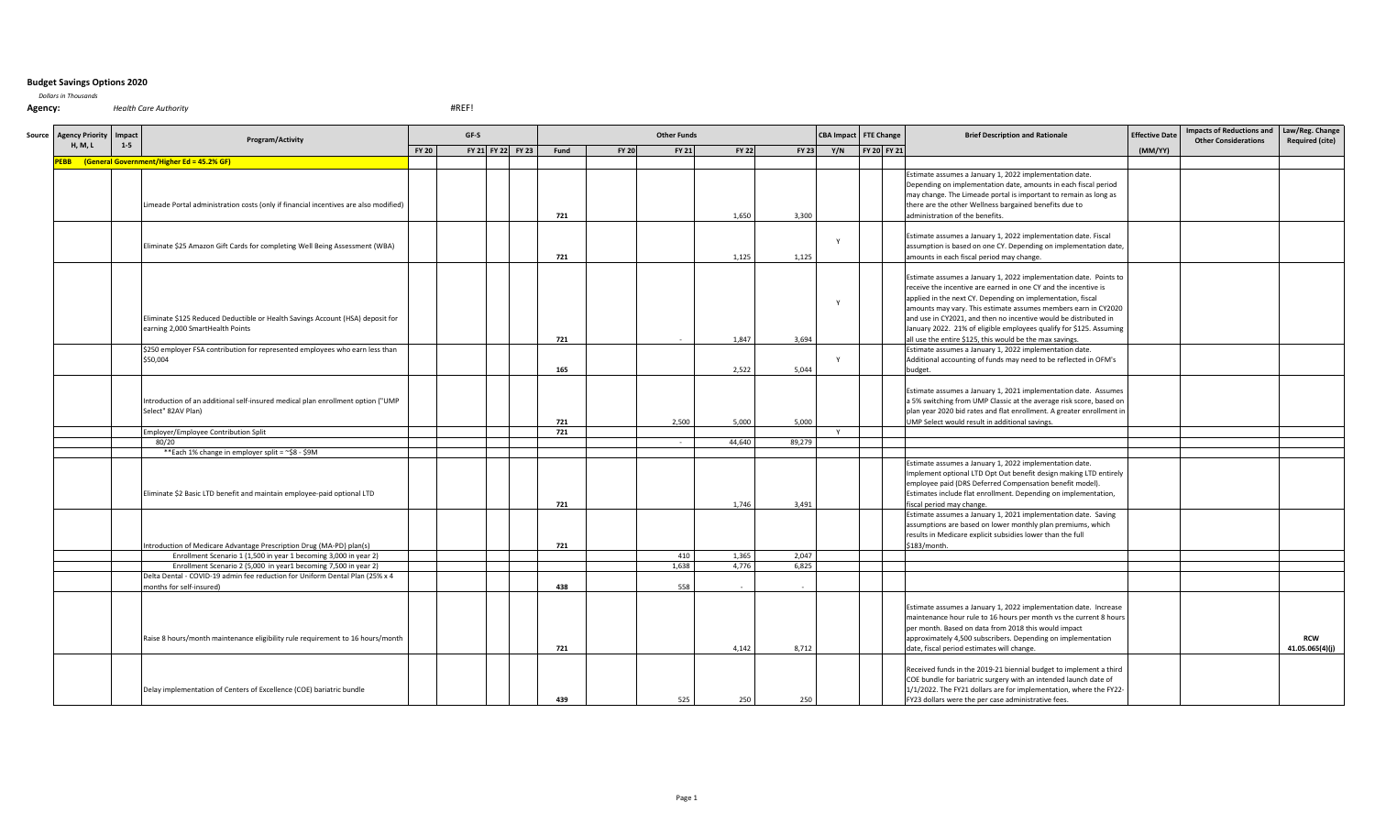## **Budget Savings Options 2020**

*Dollars in Thousands*

**Agency:** *Health Care Authority* 

#REF!

| Source Agency Priority | Impact | Program/Activity                                                                                                   |              | GF-S |                   |      |              | <b>Other Funds</b> |              |              | <b>CBA Impact</b> | <b>FTE Change</b> | <b>Brief Description and Rationale</b>                                                                                                                                                                                                                                                                                                                                                                                                                                       | <b>Effective Date</b> | <b>Impacts of Reductions and</b><br><b>Other Considerations</b> | Law/Reg. Change<br><b>Required (cite)</b> |
|------------------------|--------|--------------------------------------------------------------------------------------------------------------------|--------------|------|-------------------|------|--------------|--------------------|--------------|--------------|-------------------|-------------------|------------------------------------------------------------------------------------------------------------------------------------------------------------------------------------------------------------------------------------------------------------------------------------------------------------------------------------------------------------------------------------------------------------------------------------------------------------------------------|-----------------------|-----------------------------------------------------------------|-------------------------------------------|
| <b>H, M, L</b>         | $1-5$  |                                                                                                                    | <b>FY 20</b> |      | FY 21 FY 22 FY 23 | Fund | <b>FY 20</b> | <b>FY 21</b>       | <b>FY 22</b> | <b>FY 23</b> | Y/N               | FY 20 FY 21       |                                                                                                                                                                                                                                                                                                                                                                                                                                                                              | (MM/YY)               |                                                                 |                                           |
|                        |        | PEBB (General Government/Higher Ed = 45.2% GF)                                                                     |              |      |                   |      |              |                    |              |              |                   |                   |                                                                                                                                                                                                                                                                                                                                                                                                                                                                              |                       |                                                                 |                                           |
|                        |        | Limeade Portal administration costs (only if financial incentives are also modified)                               |              |      |                   | 721  |              |                    | 1,650        | 3.300        |                   |                   | Estimate assumes a January 1, 2022 implementation date.<br>Depending on implementation date, amounts in each fiscal period<br>may change. The Limeade portal is important to remain as long as<br>there are the other Wellness bargained benefits due to<br>administration of the benefits.                                                                                                                                                                                  |                       |                                                                 |                                           |
|                        |        | Eliminate \$25 Amazon Gift Cards for completing Well Being Assessment (WBA)                                        |              |      |                   | 721  |              |                    | 1,125        | 1,125        |                   |                   | Estimate assumes a January 1, 2022 implementation date. Fiscal<br>assumption is based on one CY. Depending on implementation date,<br>amounts in each fiscal period may change.                                                                                                                                                                                                                                                                                              |                       |                                                                 |                                           |
|                        |        | Eliminate \$125 Reduced Deductible or Health Savings Account (HSA) deposit for<br>earning 2,000 SmartHealth Points |              |      |                   | 721  |              |                    | 1,847        | 3,694        |                   |                   | Estimate assumes a January 1, 2022 implementation date. Points to<br>receive the incentive are earned in one CY and the incentive is<br>applied in the next CY. Depending on implementation, fiscal<br>amounts may vary. This estimate assumes members earn in CY2020<br>and use in CY2021, and then no incentive would be distributed in<br>January 2022. 21% of eligible employees qualify for \$125. Assuming<br>all use the entire \$125, this would be the max savings. |                       |                                                                 |                                           |
|                        |        | \$250 employer FSA contribution for represented employees who earn less than<br>\$50,004                           |              |      |                   | 165  |              |                    | 2,522        | 5,044        |                   |                   | Estimate assumes a January 1, 2022 implementation date.<br>Additional accounting of funds may need to be reflected in OFM's<br>budget.                                                                                                                                                                                                                                                                                                                                       |                       |                                                                 |                                           |
|                        |        | Introduction of an additional self-insured medical plan enrollment option ("UMP<br>Select" 82AV Plan)              |              |      |                   | 721  |              | 2.500              | 5.000        | 5.000        |                   |                   | Estimate assumes a January 1, 2021 implementation date. Assumes<br>a 5% switching from UMP Classic at the average risk score, based on<br>plan year 2020 bid rates and flat enrollment. A greater enrollment in<br>UMP Select would result in additional savings.                                                                                                                                                                                                            |                       |                                                                 |                                           |
|                        |        | Employer/Employee Contribution Split                                                                               |              |      |                   | 721  |              |                    |              |              | Y                 |                   |                                                                                                                                                                                                                                                                                                                                                                                                                                                                              |                       |                                                                 |                                           |
|                        |        | 80/20                                                                                                              |              |      |                   |      |              |                    | 44.640       | 89,279       |                   |                   |                                                                                                                                                                                                                                                                                                                                                                                                                                                                              |                       |                                                                 |                                           |
|                        |        | ** Each 1% change in employer split = ~\$8 - \$9M                                                                  |              |      |                   |      |              |                    |              |              |                   |                   |                                                                                                                                                                                                                                                                                                                                                                                                                                                                              |                       |                                                                 |                                           |
|                        |        | Eliminate \$2 Basic LTD benefit and maintain employee-paid optional LTD                                            |              |      |                   | 721  |              |                    | 1,746        | 3,491        |                   |                   | Estimate assumes a January 1, 2022 implementation date.<br>Implement optional LTD Opt Out benefit design making LTD entirely<br>employee paid (DRS Deferred Compensation benefit model).<br>Estimates include flat enrollment. Depending on implementation,<br>fiscal period may change.                                                                                                                                                                                     |                       |                                                                 |                                           |
|                        |        | Introduction of Medicare Advantage Prescription Drug (MA-PD) plan(s)                                               |              |      |                   | 721  |              |                    |              |              |                   |                   | Estimate assumes a January 1, 2021 implementation date. Saving<br>assumptions are based on lower monthly plan premiums, which<br>results in Medicare explicit subsidies lower than the full<br>\$183/month.                                                                                                                                                                                                                                                                  |                       |                                                                 |                                           |
|                        |        | Enrollment Scenario 1 (1,500 in year 1 becoming 3,000 in year 2)                                                   |              |      |                   |      |              | 410                | 1,365        | 2,047        |                   |                   |                                                                                                                                                                                                                                                                                                                                                                                                                                                                              |                       |                                                                 |                                           |
|                        |        | Enrollment Scenario 2 (5,000 in year1 becoming 7,500 in year 2)                                                    |              |      |                   |      |              | 1.638              | 4,776        | 6,825        |                   |                   |                                                                                                                                                                                                                                                                                                                                                                                                                                                                              |                       |                                                                 |                                           |
|                        |        | Delta Dental - COVID-19 admin fee reduction for Uniform Dental Plan (25% x 4<br>nonths for self-insured)           |              |      |                   | 438  |              | 558                |              |              |                   |                   |                                                                                                                                                                                                                                                                                                                                                                                                                                                                              |                       |                                                                 |                                           |
|                        |        | Raise 8 hours/month maintenance eligibility rule requirement to 16 hours/month                                     |              |      |                   | 721  |              |                    | 4,142        | 8,712        |                   |                   | Estimate assumes a January 1, 2022 implementation date. Increase<br>maintenance hour rule to 16 hours per month vs the current 8 hours<br>per month. Based on data from 2018 this would impact<br>approximately 4,500 subscribers. Depending on implementation<br>date, fiscal period estimates will change.                                                                                                                                                                 |                       |                                                                 | <b>RCW</b><br>41.05.065(4)(j)             |
|                        |        | Delay implementation of Centers of Excellence (COE) bariatric bundle                                               |              |      |                   | 439  |              | 525                | 250          | 250          |                   |                   | Received funds in the 2019-21 biennial budget to implement a third<br>COE bundle for bariatric surgery with an intended launch date of<br>1/1/2022. The FY21 dollars are for implementation, where the FY22-<br>FY23 dollars were the per case administrative fees.                                                                                                                                                                                                          |                       |                                                                 |                                           |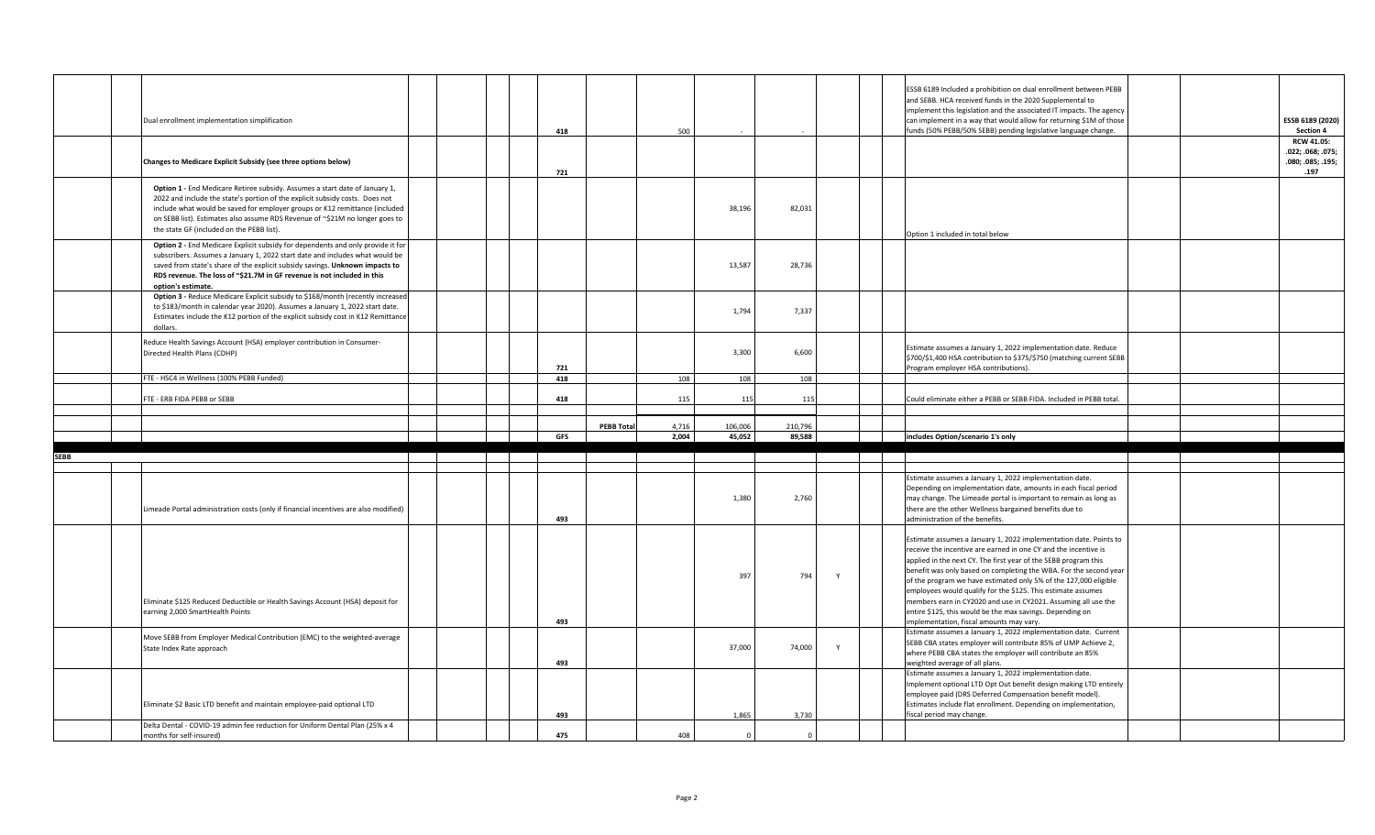|             | Dual enrollment implementation simplification                                                                                                                                                                                                                                                                                                                           |  |  | 418 |                   | 500            |                   |                   |              | ESSB 6189 Included a prohibition on dual enrollment between PEBB<br>and SEBB. HCA received funds in the 2020 Supplemental to<br>implement this legislation and the associated IT impacts. The agency<br>can implement in a way that would allow for returning \$1M of those<br>funds (50% PEBB/50% SEBB) pending legislative language change.                                                                                                                                                                                                                                              |  | ESSB 6189 (2020)<br><b>Section 4</b><br><b>RCW 41.05:</b><br>.022; .068; .075; |
|-------------|-------------------------------------------------------------------------------------------------------------------------------------------------------------------------------------------------------------------------------------------------------------------------------------------------------------------------------------------------------------------------|--|--|-----|-------------------|----------------|-------------------|-------------------|--------------|--------------------------------------------------------------------------------------------------------------------------------------------------------------------------------------------------------------------------------------------------------------------------------------------------------------------------------------------------------------------------------------------------------------------------------------------------------------------------------------------------------------------------------------------------------------------------------------------|--|--------------------------------------------------------------------------------|
|             | Changes to Medicare Explicit Subsidy (see three options below)                                                                                                                                                                                                                                                                                                          |  |  | 721 |                   |                |                   |                   |              |                                                                                                                                                                                                                                                                                                                                                                                                                                                                                                                                                                                            |  | .080; .085; .195;<br>.197                                                      |
|             | Option 1 - End Medicare Retiree subsidy. Assumes a start date of January 1,<br>2022 and include the state's portion of the explicit subsidy costs. Does not<br>include what would be saved for employer groups or K12 remittance (included<br>on SEBB list). Estimates also assume RDS Revenue of ~\$21M no longer goes to<br>the state GF (included on the PEBB list). |  |  |     |                   |                | 38,196            | 82,031            |              | Option 1 included in total below                                                                                                                                                                                                                                                                                                                                                                                                                                                                                                                                                           |  |                                                                                |
|             | Option 2 - End Medicare Explicit subsidy for dependents and only provide it for<br>subscribers. Assumes a January 1, 2022 start date and includes what would be<br>saved from state's share of the explicit subsidy savings. Unknown impacts to<br>RDS revenue. The loss of ~\$21.7M in GF revenue is not included in this<br>option's estimate.                        |  |  |     |                   |                | 13,587            | 28,736            |              |                                                                                                                                                                                                                                                                                                                                                                                                                                                                                                                                                                                            |  |                                                                                |
|             | Option 3 - Reduce Medicare Explicit subsidy to \$168/month (recently increased<br>to \$183/month in calendar year 2020). Assumes a January 1, 2022 start date.<br>Estimates include the K12 portion of the explicit subsidy cost in K12 Remittance<br>dollars.                                                                                                          |  |  |     |                   |                | 1,794             | 7,337             |              |                                                                                                                                                                                                                                                                                                                                                                                                                                                                                                                                                                                            |  |                                                                                |
|             | Reduce Health Savings Account (HSA) employer contribution in Consumer-<br>Directed Health Plans (CDHP)                                                                                                                                                                                                                                                                  |  |  | 721 |                   |                | 3,300             | 6,600             |              | Estimate assumes a January 1, 2022 implementation date. Reduce<br>\$700/\$1,400 HSA contribution to \$375/\$750 (matching current SEBB<br>Program employer HSA contributions).                                                                                                                                                                                                                                                                                                                                                                                                             |  |                                                                                |
|             | FTE - HSC4 in Wellness (100% PEBB Funded)                                                                                                                                                                                                                                                                                                                               |  |  | 418 |                   | 108            | 108               | 108               |              |                                                                                                                                                                                                                                                                                                                                                                                                                                                                                                                                                                                            |  |                                                                                |
|             | FTE - ERB FIDA PEBB or SEBB                                                                                                                                                                                                                                                                                                                                             |  |  | 418 |                   | 115            | 115               | 115               |              | Could eliminate either a PEBB or SEBB FIDA. Included in PEBB total.                                                                                                                                                                                                                                                                                                                                                                                                                                                                                                                        |  |                                                                                |
|             |                                                                                                                                                                                                                                                                                                                                                                         |  |  |     |                   |                |                   |                   |              |                                                                                                                                                                                                                                                                                                                                                                                                                                                                                                                                                                                            |  |                                                                                |
|             |                                                                                                                                                                                                                                                                                                                                                                         |  |  | GFS | <b>PEBB Total</b> | 4,716<br>2,004 | 106,006<br>45,052 | 210,796<br>89,588 |              | includes Option/scenario 1's only                                                                                                                                                                                                                                                                                                                                                                                                                                                                                                                                                          |  |                                                                                |
| <b>SEBB</b> |                                                                                                                                                                                                                                                                                                                                                                         |  |  |     |                   |                |                   |                   |              |                                                                                                                                                                                                                                                                                                                                                                                                                                                                                                                                                                                            |  |                                                                                |
|             |                                                                                                                                                                                                                                                                                                                                                                         |  |  |     |                   |                |                   |                   |              |                                                                                                                                                                                                                                                                                                                                                                                                                                                                                                                                                                                            |  |                                                                                |
|             | Limeade Portal administration costs (only if financial incentives are also modified)                                                                                                                                                                                                                                                                                    |  |  | 493 |                   |                | 1,380             | 2,760             |              | Estimate assumes a January 1, 2022 implementation date.<br>Depending on implementation date, amounts in each fiscal period<br>may change. The Limeade portal is important to remain as long as<br>there are the other Wellness bargained benefits due to<br>administration of the benefits.                                                                                                                                                                                                                                                                                                |  |                                                                                |
|             | Eliminate \$125 Reduced Deductible or Health Savings Account (HSA) deposit for<br>earning 2,000 SmartHealth Points                                                                                                                                                                                                                                                      |  |  | 493 |                   |                | 397               | 794               | Y            | Estimate assumes a January 1, 2022 implementation date. Points to<br>receive the incentive are earned in one CY and the incentive is<br>applied in the next CY. The first year of the SEBB program this<br>benefit was only based on completing the WBA. For the second year<br>of the program we have estimated only 5% of the 127,000 eligible<br>employees would qualify for the \$125. This estimate assumes<br>members earn in CY2020 and use in CY2021. Assuming all use the<br>entire \$125, this would be the max savings. Depending on<br>mplementation, fiscal amounts may vary. |  |                                                                                |
|             | Move SEBB from Employer Medical Contribution (EMC) to the weighted-average<br>State Index Rate approach                                                                                                                                                                                                                                                                 |  |  | 493 |                   |                | 37,000            | 74,000            | $\mathsf{v}$ | Estimate assumes a January 1, 2022 implementation date. Current<br>SEBB CBA states employer will contribute 85% of UMP Achieve 2,<br>where PEBB CBA states the employer will contribute an 85%<br>weighted average of all plans.                                                                                                                                                                                                                                                                                                                                                           |  |                                                                                |
|             | Eliminate \$2 Basic LTD benefit and maintain employee-paid optional LTD                                                                                                                                                                                                                                                                                                 |  |  | 493 |                   |                | 1,865             | 3,730             |              | Estimate assumes a January 1, 2022 implementation date.<br>Implement optional LTD Opt Out benefit design making LTD entirely<br>employee paid (DRS Deferred Compensation benefit model).<br>Estimates include flat enrollment. Depending on implementation,<br>fiscal period may change.                                                                                                                                                                                                                                                                                                   |  |                                                                                |
|             | Delta Dental - COVID-19 admin fee reduction for Uniform Dental Plan (25% x 4                                                                                                                                                                                                                                                                                            |  |  |     |                   |                |                   |                   |              |                                                                                                                                                                                                                                                                                                                                                                                                                                                                                                                                                                                            |  |                                                                                |